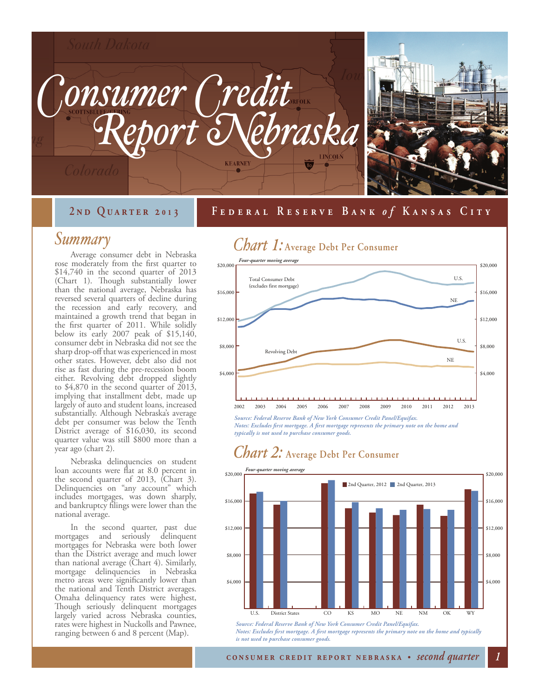

#### **September 20 2 nd Quarter 2 01 30 Federal Reserve Bank Federal Reserve Bank** *o fo f* **Kansas City Kansas City**

#### *Summary*

Average consumer debt in Nebraska rose moderately from the first quarter to \$14,740 in the second quarter of 2013 (Chart 1). Though substantially lower than the national average, Nebraska has reversed several quarters of decline during the recession and early recovery, and maintained a growth trend that began in the first quarter of 2011. While solidly below its early 2007 peak of \$15,140, consumer debt in Nebraska did not see the sharp drop-off that was experienced in most other states. However, debt also did not rise as fast during the pre-recession boom either. Revolving debt dropped slightly to \$4,870 in the second quarter of 2013, implying that installment debt, made up largely of auto and student loans, increased substantially. Although Nebraska's average debt per consumer was below the Tenth District average of \$16,030, its second quarter value was still \$800 more than a year ago (chart 2).

Nebraska delinquencies on student loan accounts were flat at 8.0 percent in the second quarter of 2013, (Chart 3). Delinquencies on "any account" which includes mortgages, was down sharply, and bankruptcy filings were lower than the national average.

In the second quarter, past due mortgages and seriously delinquent mortgages for Nebraska were both lower than the District average and much lower than national average (Chart 4). Similarly, mortgage delinquencies in Nebraska metro areas were significantly lower than the national and Tenth District averages. Omaha delinquency rates were highest, Though seriously delinquent mortgages largely varied across Nebraska counties, rates were highest in Nuckolls and Pawnee, ranging between 6 and 8 percent (Map).

### *Chart 1:* **Average Debt Per Consumer**



*Source: Federal Reserve Bank of New York Consumer Credit Panel/Equifax. Notes: Excludes first mortgage. A first mortgage represents the primary note on the home and typically is not used to purchase consumer goods.* 

### *Chart 2:* **Average Debt Per Consumer**



*Notes: Excludes first mortgage. A first mortgage represents the primary note on the home and typically is not used to purchase consumer goods.*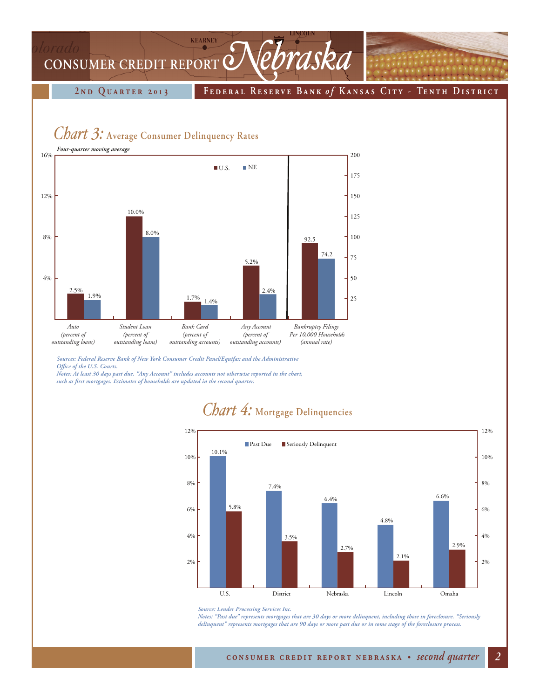# **KEARNEY** CONSUMER CREDIT REPORT *Nebraska*

**2 nd Quarter 2 01 3 Federal Reserve Bank** *o f* **K ansas Cit y - Tenth District**

### *Chart 3:* **Average Consumer Delinquency Rates**



*Sources: Federal Reserve Bank of New York Consumer Credit Panel/Equifax and the Administrative Office of the U.S. Courts.*

*Notes: At least 30 days past due. "Any Account" includes accounts not otherwise reported in the chart, such as first mortgages. Estimates of households are updated in the second quarter.*

#### 10.1% 7.4% 6.4% 4.8% 6.6% 5.8% 3.5% 2.7% 2.1% 2.9% 2% 4% 6% 8% 10% 12% 2% 4% 6% 8% 10% 12% U.S. District Nebraska Lincoln Omaha **Past Due** Seriously Delinquent

## *Chart 4:* **Mortgage Delinquencies**

*Notes: "Past due" represents mortgages that are 30 days or more delinquent, including those in foreclosure. "Seriously delinquent" represents mortgages that are 90 days or more past due or in some stage of the foreclosure process.*

*Source: Lender Processing Services Inc.*